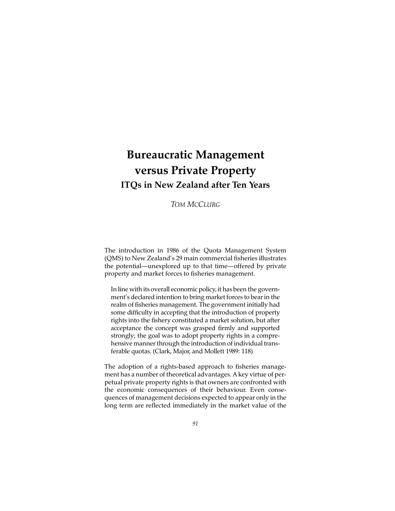# **Bureaucratic Management versus Private Property ITQs in New Zealand after Ten Years**

# *TOM MCCLURG*

The introduction in 1986 of the Quota Management System (QMS) to New Zealand's 29 main commercial fisheries illustrates the potential—unexplored up to that time—offered by private property and market forces to fisheries management.

In line with its overall economic policy, it has been the government's declared intention to bring market forces to bear in the realm of fisheries management. The government initially had some difficulty in accepting that the introduction of property rights into the fishery constituted a market solution, but after acceptance the concept was grasped firmly and supported strongly; the goal was to adopt property rights in a comprehensive manner through the introduction of individual transferable quotas. (Clark, Major, and Mollett 1989: 118)

The adoption of a rights-based approach to fisheries management has a number of theoretical advantages. A key virtue of perpetual private property rights is that owners are confronted with the economic consequences of their behaviour. Even consequences of management decisions expected to appear only in the long term are reflected immediately in the market value of the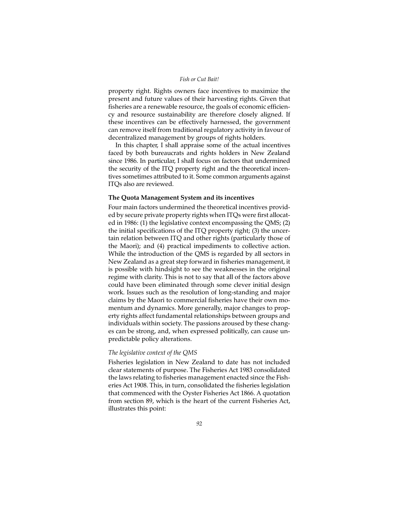## *Fish or Cut Bait!*

property right. Rights owners face incentives to maximize the present and future values of their harvesting rights. Given that fisheries are a renewable resource, the goals of economic efficiency and resource sustainability are therefore closely aligned. If these incentives can be effectively harnessed, the government can remove itself from traditional regulatory activity in favour of decentralized management by groups of rights holders.

In this chapter, I shall appraise some of the actual incentives faced by both bureaucrats and rights holders in New Zealand since 1986. In particular, I shall focus on factors that undermined the security of the ITQ property right and the theoretical incentives sometimes attributed to it. Some common arguments against ITQs also are reviewed.

## **The Quota Management System and its incentives**

Four main factors undermined the theoretical incentives provided by secure private property rights when ITQs were first allocated in 1986: (1) the legislative context encompassing the QMS; (2) the initial specifications of the ITQ property right; (3) the uncertain relation between ITQ and other rights (particularly those of the Maori); and (4) practical impediments to collective action. While the introduction of the QMS is regarded by all sectors in New Zealand as a great step forward in fisheries management, it is possible with hindsight to see the weaknesses in the original regime with clarity. This is not to say that all of the factors above could have been eliminated through some clever initial design work. Issues such as the resolution of long-standing and major claims by the Maori to commercial fisheries have their own momentum and dynamics. More generally, major changes to property rights affect fundamental relationships between groups and individuals within society. The passions aroused by these changes can be strong, and, when expressed politically, can cause unpredictable policy alterations.

## *The legislative context of the QMS*

Fisheries legislation in New Zealand to date has not included clear statements of purpose. The Fisheries Act 1983 consolidated the laws relating to fisheries management enacted since the Fisheries Act 1908. This, in turn, consolidated the fisheries legislation that commenced with the Oyster Fisheries Act 1866. A quotation from section 89, which is the heart of the current Fisheries Act, illustrates this point: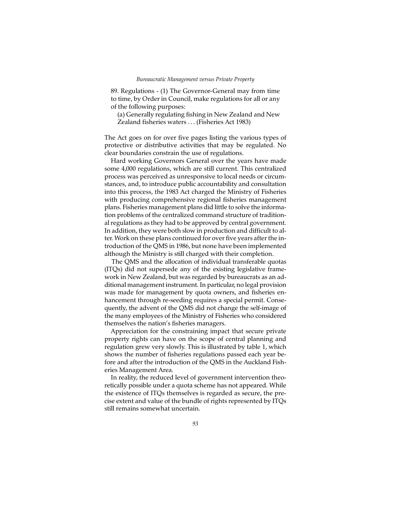89. Regulations - (1) The Governor-General may from time to time, by Order in Council, make regulations for all or any of the following purposes:

(a) Generally regulating fishing in New Zealand and New Zealand fisheries waters ... (Fisheries Act 1983)

The Act goes on for over five pages listing the various types of protective or distributive activities that may be regulated. No clear boundaries constrain the use of regulations.

Hard working Governors General over the years have made some 4,000 regulations, which are still current. This centralized process was perceived as unresponsive to local needs or circumstances, and, to introduce public accountability and consultation into this process, the 1983 Act charged the Ministry of Fisheries with producing comprehensive regional fisheries management plans. Fisheries management plans did little to solve the information problems of the centralized command structure of traditional regulations as they had to be approved by central government. In addition, they were both slow in production and difficult to alter. Work on these plans continued for over five years after the introduction of the QMS in 1986, but none have been implemented although the Ministry is still charged with their completion.

The QMS and the allocation of individual transferable quotas (ITQs) did not supersede any of the existing legislative framework in New Zealand, but was regarded by bureaucrats as an additional management instrument. In particular, no legal provision was made for management by quota owners, and fisheries enhancement through re-seeding requires a special permit. Consequently, the advent of the QMS did not change the self-image of the many employees of the Ministry of Fisheries who considered themselves the nation's fisheries managers.

Appreciation for the constraining impact that secure private property rights can have on the scope of central planning and regulation grew very slowly. This is illustrated by table 1, which shows the number of fisheries regulations passed each year before and after the introduction of the QMS in the Auckland Fisheries Management Area.

In reality, the reduced level of government intervention theoretically possible under a quota scheme has not appeared. While the existence of ITQs themselves is regarded as secure, the precise extent and value of the bundle of rights represented by ITQs still remains somewhat uncertain.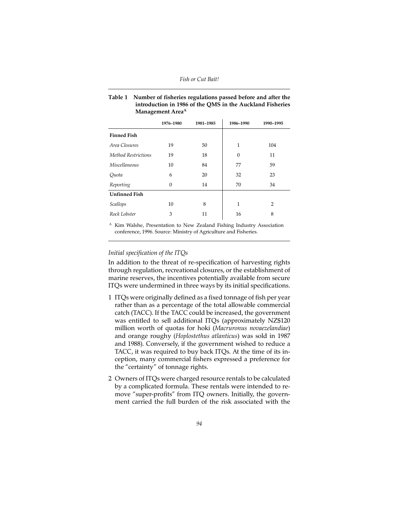## **Table 1 Number of fisheries regulations passed before and after the introduction in 1986 of the QMS in the Auckland Fisheries Management AreaA**

|                            | 1976-1980 | 1981-1985 | 1986-1990 | 1990-1995 |
|----------------------------|-----------|-----------|-----------|-----------|
| <b>Finned Fish</b>         |           |           |           |           |
| Area Closures              | 19        | 50        | 1         | 104       |
| <b>Method Restrictions</b> | 19        | 18        | $\theta$  | 11        |
| <i>Miscellaneous</i>       | 10        | 84        | 77        | 59        |
| Quota                      | 6         | 20        | 32        | 23        |
| Reporting                  | $\theta$  | 14        | 70        | 34        |
| <b>Unfinned Fish</b>       |           |           |           |           |
| Scallops                   | 10        | 8         | 1         | 2         |
| Rock Lobster               | 3         | 11        | 16        | 8         |
|                            |           |           |           |           |

 $^{\text{A}}$  Kim Walshe, Presentation to New Zealand Fishing Industry Association conference, 1996. Source: Ministry of Agriculture and Fisheries.

# *Initial specification of the ITQs*

In addition to the threat of re-specification of harvesting rights through regulation, recreational closures, or the establishment of marine reserves, the incentives potentially available from secure ITQs were undermined in three ways by its initial specifications.

- 1 ITQs were originally defined as a fixed tonnage of fish per year rather than as a percentage of the total allowable commercial catch (TACC). If the TACC could be increased, the government was entitled to sell additional ITQs (approximately NZ\$120 million worth of quotas for hoki (*Macruronus novaezelandiae*) and orange roughy (*Hoplostethus atlanticus*) was sold in 1987 and 1988). Conversely, if the government wished to reduce a TACC, it was required to buy back ITQs. At the time of its inception, many commercial fishers expressed a preference for the "certainty" of tonnage rights.
- 2 Owners of ITQs were charged resource rentals to be calculated by a complicated formula. These rentals were intended to remove "super-profits" from ITQ owners. Initially, the government carried the full burden of the risk associated with the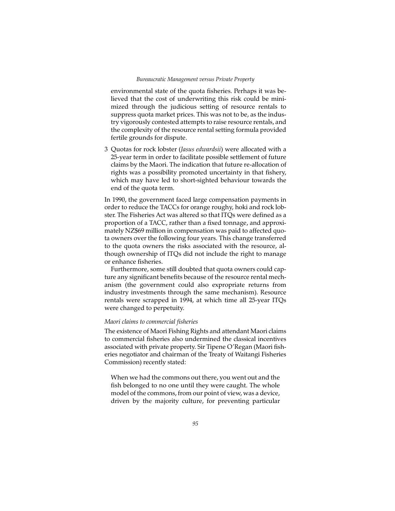## *Bureaucratic Management versus Private Property*

environmental state of the quota fisheries. Perhaps it was believed that the cost of underwriting this risk could be minimized through the judicious setting of resource rentals to suppress quota market prices. This was not to be, as the industry vigorously contested attempts to raise resource rentals, and the complexity of the resource rental setting formula provided fertile grounds for dispute.

3 Quotas for rock lobster (*Jasus edwardsii*) were allocated with a 25-year term in order to facilitate possible settlement of future claims by the Maori. The indication that future re-allocation of rights was a possibility promoted uncertainty in that fishery, which may have led to short-sighted behaviour towards the end of the quota term.

In 1990, the government faced large compensation payments in order to reduce the TACCs for orange roughy, hoki and rock lobster. The Fisheries Act was altered so that ITQs were defined as a proportion of a TACC, rather than a fixed tonnage, and approximately NZ\$69 million in compensation was paid to affected quota owners over the following four years. This change transferred to the quota owners the risks associated with the resource, although ownership of ITQs did not include the right to manage or enhance fisheries.

Furthermore, some still doubted that quota owners could capture any significant benefits because of the resource rental mechanism (the government could also expropriate returns from industry investments through the same mechanism). Resource rentals were scrapped in 1994, at which time all 25-year ITQs were changed to perpetuity.

## *Maori claims to commercial fisheries*

The existence of Maori Fishing Rights and attendant Maori claims to commercial fisheries also undermined the classical incentives associated with private property. Sir Tipene O'Regan (Maori fisheries negotiator and chairman of the Treaty of Waitangi Fisheries Commission) recently stated:

When we had the commons out there, you went out and the fish belonged to no one until they were caught. The whole model of the commons, from our point of view, was a device, driven by the majority culture, for preventing particular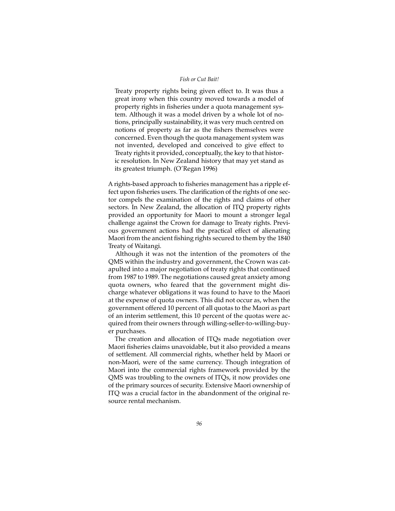## *Fish or Cut Bait!*

Treaty property rights being given effect to. It was thus a great irony when this country moved towards a model of property rights in fisheries under a quota management system. Although it was a model driven by a whole lot of notions, principally sustainability, it was very much centred on notions of property as far as the fishers themselves were concerned. Even though the quota management system was not invented, developed and conceived to give effect to Treaty rights it provided, conceptually, the key to that historic resolution. In New Zealand history that may yet stand as its greatest triumph. (O'Regan 1996)

A rights-based approach to fisheries management has a ripple effect upon fisheries users. The clarification of the rights of one sector compels the examination of the rights and claims of other sectors. In New Zealand, the allocation of ITQ property rights provided an opportunity for Maori to mount a stronger legal challenge against the Crown for damage to Treaty rights. Previous government actions had the practical effect of alienating Maori from the ancient fishing rights secured to them by the 1840 Treaty of Waitangi.

Although it was not the intention of the promoters of the QMS within the industry and government, the Crown was catapulted into a major negotiation of treaty rights that continued from 1987 to 1989. The negotiations caused great anxiety among quota owners, who feared that the government might discharge whatever obligations it was found to have to the Maori at the expense of quota owners. This did not occur as, when the government offered 10 percent of all quotas to the Maori as part of an interim settlement, this 10 percent of the quotas were acquired from their owners through willing-seller-to-willing-buyer purchases.

The creation and allocation of ITQs made negotiation over Maori fisheries claims unavoidable, but it also provided a means of settlement. All commercial rights, whether held by Maori or non-Maori, were of the same currency. Though integration of Maori into the commercial rights framework provided by the QMS was troubling to the owners of ITQs, it now provides one of the primary sources of security. Extensive Maori ownership of ITQ was a crucial factor in the abandonment of the original resource rental mechanism.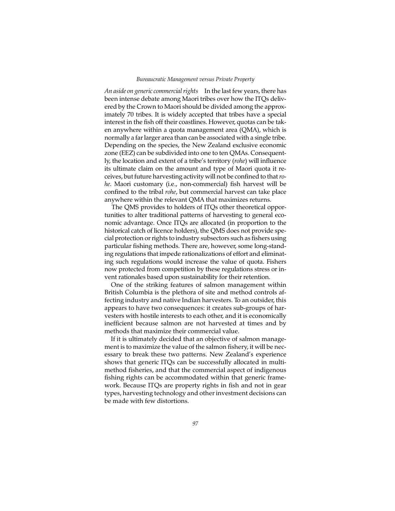#### *Bureaucratic Management versus Private Property*

*An aside on generic commercial rights* In the last few years, there has been intense debate among Maori tribes over how the ITQs delivered by the Crown to Maori should be divided among the approximately 70 tribes. It is widely accepted that tribes have a special interest in the fish off their coastlines. However, quotas can be taken anywhere within a quota management area (QMA), which is normally a far larger area than can be associated with a single tribe. Depending on the species, the New Zealand exclusive economic zone (EEZ) can be subdivided into one to ten QMAs. Consequently, the location and extent of a tribe's territory (*rohe*) will influence its ultimate claim on the amount and type of Maori quota it receives, but future harvesting activity will not be confined to that *rohe*. Maori customary (i.e., non-commercial) fish harvest will be confined to the tribal *rohe*, but commercial harvest can take place anywhere within the relevant QMA that maximizes returns.

The QMS provides to holders of ITQs other theoretical opportunities to alter traditional patterns of harvesting to general economic advantage. Once ITQs are allocated (in proportion to the historical catch of licence holders), the QMS does not provide special protection or rights to industry subsectors such as fishers using particular fishing methods. There are, however, some long-standing regulations that impede rationalizations of effort and eliminating such regulations would increase the value of quota. Fishers now protected from competition by these regulations stress or invent rationales based upon sustainability for their retention.

One of the striking features of salmon management within British Columbia is the plethora of site and method controls affecting industry and native Indian harvesters. To an outsider, this appears to have two consequences: it creates sub-groups of harvesters with hostile interests to each other, and it is economically inefficient because salmon are not harvested at times and by methods that maximize their commercial value.

If it is ultimately decided that an objective of salmon management is to maximize the value of the salmon fishery, it will be necessary to break these two patterns. New Zealand's experience shows that generic ITQs can be successfully allocated in multimethod fisheries, and that the commercial aspect of indigenous fishing rights can be accommodated within that generic framework. Because ITQs are property rights in fish and not in gear types, harvesting technology and other investment decisions can be made with few distortions.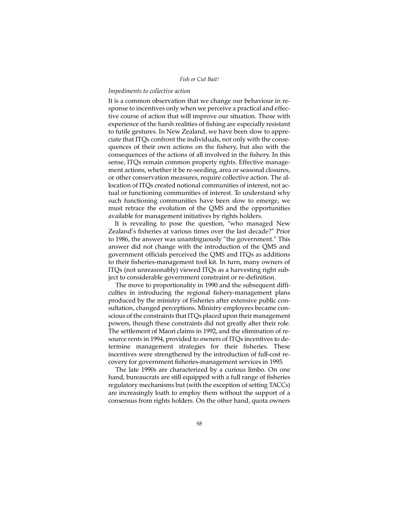## *Impediments to collective action*

It is a common observation that we change our behaviour in response to incentives only when we perceive a practical and effective course of action that will improve our situation. Those with experience of the harsh realities of fishing are especially resistant to futile gestures. In New Zealand, we have been slow to appreciate that ITQs confront the individuals, not only with the consequences of their own actions on the fishery, but also with the consequences of the actions of all involved in the fishery. In this sense, ITQs remain common property rights. Effective management actions, whether it be re-seeding, area or seasonal closures, or other conservation measures, require collective action. The allocation of ITQs created notional communities of interest, not actual or functioning communities of interest. To understand why such functioning communities have been slow to emerge, we must retrace the evolution of the QMS and the opportunities available for management initiatives by rights holders.

It is revealing to pose the question, "who managed New Zealand's fisheries at various times over the last decade?" Prior to 1986, the answer was unambiguously "the government." This answer did not change with the introduction of the QMS and government officials perceived the QMS and ITQs as additions to their fisheries-management tool kit. In turn, many owners of ITQs (not unreasonably) viewed ITQs as a harvesting right subject to considerable government constraint or re-definition.

The move to proportionality in 1990 and the subsequent difficulties in introducing the regional fishery-management plans produced by the ministry of Fisheries after extensive public consultation, changed perceptions. Ministry employees became conscious of the constraints that ITQs placed upon their management powers, though these constraints did not greatly alter their role. The settlement of Maori claims in 1992, and the elimination of resource rents in 1994, provided to owners of ITQs incentives to determine management strategies for their fisheries. These incentives were strengthened by the introduction of full-cost recovery for government fisheries-management services in 1995.

The late 1990s are characterized by a curious limbo. On one hand, bureaucrats are still equipped with a full range of fisheries regulatory mechanisms but (with the exception of setting TACCs) are increasingly loath to employ them without the support of a consensus from rights holders. On the other hand, quota owners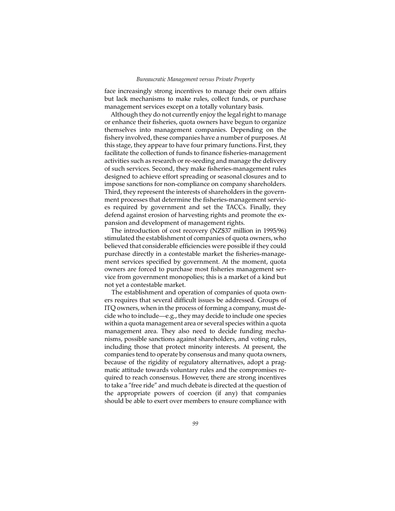face increasingly strong incentives to manage their own affairs but lack mechanisms to make rules, collect funds, or purchase management services except on a totally voluntary basis.

Although they do not currently enjoy the legal right to manage or enhance their fisheries, quota owners have begun to organize themselves into management companies. Depending on the fishery involved, these companies have a number of purposes. At this stage, they appear to have four primary functions. First, they facilitate the collection of funds to finance fisheries-management activities such as research or re-seeding and manage the delivery of such services. Second, they make fisheries-management rules designed to achieve effort spreading or seasonal closures and to impose sanctions for non-compliance on company shareholders. Third, they represent the interests of shareholders in the government processes that determine the fisheries-management services required by government and set the TACCs. Finally, they defend against erosion of harvesting rights and promote the expansion and development of management rights.

The introduction of cost recovery (NZ\$37 million in 1995/96) stimulated the establishment of companies of quota owners, who believed that considerable efficiencies were possible if they could purchase directly in a contestable market the fisheries-management services specified by government. At the moment, quota owners are forced to purchase most fisheries management service from government monopolies; this is a market of a kind but not yet a contestable market.

The establishment and operation of companies of quota owners requires that several difficult issues be addressed. Groups of ITQ owners, when in the process of forming a company, must decide who to include—e.g., they may decide to include one species within a quota management area or several species within a quota management area. They also need to decide funding mechanisms, possible sanctions against shareholders, and voting rules, including those that protect minority interests. At present, the companies tend to operate by consensus and many quota owners, because of the rigidity of regulatory alternatives, adopt a pragmatic attitude towards voluntary rules and the compromises required to reach consensus. However, there are strong incentives to take a "free ride" and much debate is directed at the question of the appropriate powers of coercion (if any) that companies should be able to exert over members to ensure compliance with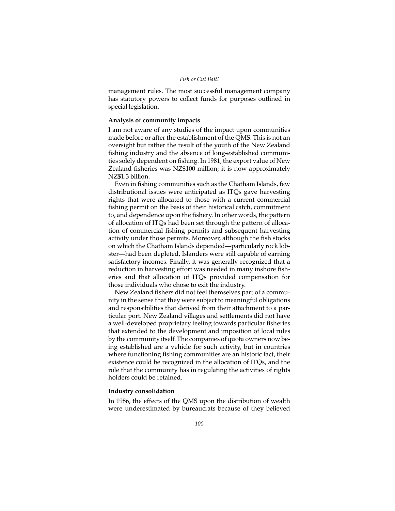management rules. The most successful management company has statutory powers to collect funds for purposes outlined in special legislation.

## **Analysis of community impacts**

I am not aware of any studies of the impact upon communities made before or after the establishment of the QMS. This is not an oversight but rather the result of the youth of the New Zealand fishing industry and the absence of long-established communities solely dependent on fishing. In 1981, the export value of New Zealand fisheries was NZ\$100 million; it is now approximately NZ\$1.3 billion.

Even in fishing communities such as the Chatham Islands, few distributional issues were anticipated as ITQs gave harvesting rights that were allocated to those with a current commercial fishing permit on the basis of their historical catch, commitment to, and dependence upon the fishery. In other words, the pattern of allocation of ITQs had been set through the pattern of allocation of commercial fishing permits and subsequent harvesting activity under those permits. Moreover, although the fish stocks on which the Chatham Islands depended—particularly rock lobster—had been depleted, Islanders were still capable of earning satisfactory incomes. Finally, it was generally recognized that a reduction in harvesting effort was needed in many inshore fisheries and that allocation of ITQs provided compensation for those individuals who chose to exit the industry.

New Zealand fishers did not feel themselves part of a community in the sense that they were subject to meaningful obligations and responsibilities that derived from their attachment to a particular port. New Zealand villages and settlements did not have a well-developed proprietary feeling towards particular fisheries that extended to the development and imposition of local rules by the community itself. The companies of quota owners now being established are a vehicle for such activity, but in countries where functioning fishing communities are an historic fact, their existence could be recognized in the allocation of ITQs, and the role that the community has in regulating the activities of rights holders could be retained.

## **Industry consolidation**

In 1986, the effects of the QMS upon the distribution of wealth were underestimated by bureaucrats because of they believed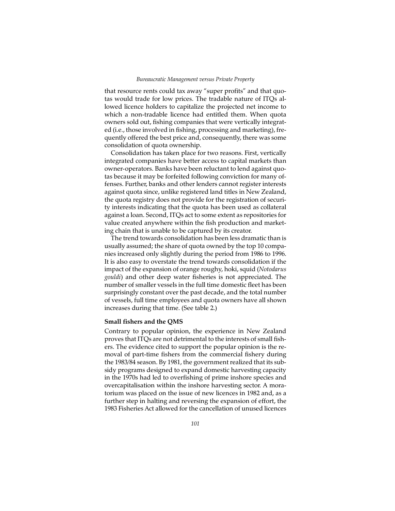that resource rents could tax away "super profits" and that quotas would trade for low prices. The tradable nature of ITQs allowed licence holders to capitalize the projected net income to which a non-tradable licence had entitled them. When quota owners sold out, fishing companies that were vertically integrated (i.e., those involved in fishing, processing and marketing), frequently offered the best price and, consequently, there was some consolidation of quota ownership.

Consolidation has taken place for two reasons. First, vertically integrated companies have better access to capital markets than owner-operators. Banks have been reluctant to lend against quotas because it may be forfeited following conviction for many offenses. Further, banks and other lenders cannot register interests against quota since, unlike registered land titles in New Zealand, the quota registry does not provide for the registration of security interests indicating that the quota has been used as collateral against a loan. Second, ITQs act to some extent as repositories for value created anywhere within the fish production and marketing chain that is unable to be captured by its creator.

The trend towards consolidation has been less dramatic than is usually assumed; the share of quota owned by the top 10 companies increased only slightly during the period from 1986 to 1996. It is also easy to overstate the trend towards consolidation if the impact of the expansion of orange roughy, hoki, squid (*Notodarus gouldi*) and other deep water fisheries is not appreciated. The number of smaller vessels in the full time domestic fleet has been surprisingly constant over the past decade, and the total number of vessels, full time employees and quota owners have all shown increases during that time. (See table 2.)

## **Small fishers and the QMS**

Contrary to popular opinion, the experience in New Zealand proves that ITQs are not detrimental to the interests of small fishers. The evidence cited to support the popular opinion is the removal of part-time fishers from the commercial fishery during the 1983/84 season. By 1981, the government realized that its subsidy programs designed to expand domestic harvesting capacity in the 1970s had led to overfishing of prime inshore species and overcapitalisation within the inshore harvesting sector. A moratorium was placed on the issue of new licences in 1982 and, as a further step in halting and reversing the expansion of effort, the 1983 Fisheries Act allowed for the cancellation of unused licences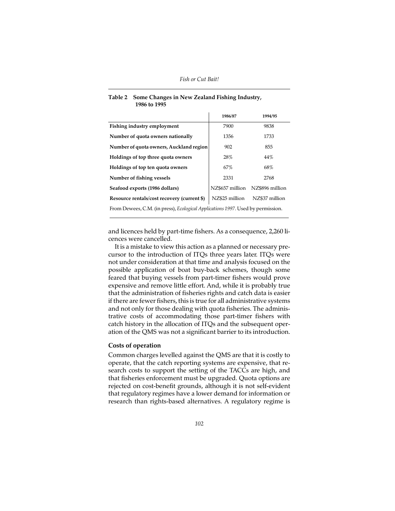|                                                                                 | 1986/87         | 1994/95         |  |  |
|---------------------------------------------------------------------------------|-----------------|-----------------|--|--|
| Fishing industry employment                                                     | 7900            | 9838            |  |  |
| Number of quota owners nationally                                               | 1356            | 1733            |  |  |
| Number of quota owners, Auckland region                                         | 902             | 855             |  |  |
| Holdings of top three quota owners                                              | 28%             | 44%             |  |  |
| Holdings of top ten quota owners                                                | 67%             | 68%             |  |  |
| Number of fishing vessels                                                       | 2331            | 2768            |  |  |
| Seafood exports (1986 dollars)                                                  | NZ\$657 million | NZ\$896 million |  |  |
| Resource rentals/cost recovery (current \$)                                     | NZ\$25 million  | NZ\$37 million  |  |  |
| From Dewees, C.M. (in press), Ecological Applications 1997. Used by permission. |                 |                 |  |  |

# **Table 2 Some Changes in New Zealand Fishing Industry, 1986 to 1995**

and licences held by part-time fishers. As a consequence, 2,260 licences were cancelled.

It is a mistake to view this action as a planned or necessary precursor to the introduction of ITQs three years later. ITQs were not under consideration at that time and analysis focused on the possible application of boat buy-back schemes, though some feared that buying vessels from part-timer fishers would prove expensive and remove little effort. And, while it is probably true that the administration of fisheries rights and catch data is easier if there are fewer fishers, this is true for all administrative systems and not only for those dealing with quota fisheries. The administrative costs of accommodating those part-timer fishers with catch history in the allocation of ITQs and the subsequent operation of the QMS was not a significant barrier to its introduction.

# **Costs of operation**

Common charges levelled against the QMS are that it is costly to operate, that the catch reporting systems are expensive, that research costs to support the setting of the TACCs are high, and that fisheries enforcement must be upgraded. Quota options are rejected on cost-benefit grounds, although it is not self-evident that regulatory regimes have a lower demand for information or research than rights-based alternatives. A regulatory regime is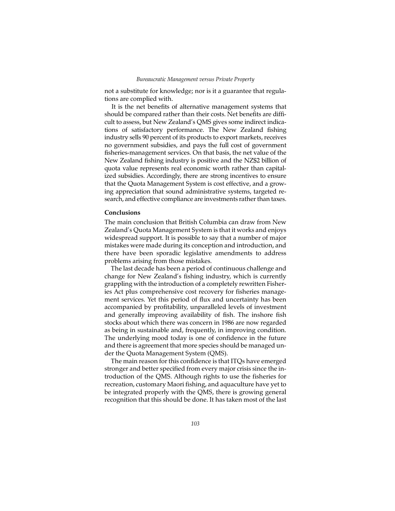not a substitute for knowledge; nor is it a guarantee that regulations are complied with.

It is the net benefits of alternative management systems that should be compared rather than their costs. Net benefits are difficult to assess, but New Zealand's QMS gives some indirect indications of satisfactory performance. The New Zealand fishing industry sells 90 percent of its products to export markets, receives no government subsidies, and pays the full cost of government fisheries-management services. On that basis, the net value of the New Zealand fishing industry is positive and the NZ\$2 billion of quota value represents real economic worth rather than capitalized subsidies. Accordingly, there are strong incentives to ensure that the Quota Management System is cost effective, and a growing appreciation that sound administrative systems, targeted research, and effective compliance are investments rather than taxes.

# **Conclusions**

The main conclusion that British Columbia can draw from New Zealand's Quota Management System is that it works and enjoys widespread support. It is possible to say that a number of major mistakes were made during its conception and introduction, and there have been sporadic legislative amendments to address problems arising from those mistakes.

The last decade has been a period of continuous challenge and change for New Zealand's fishing industry, which is currently grappling with the introduction of a completely rewritten Fisheries Act plus comprehensive cost recovery for fisheries management services. Yet this period of flux and uncertainty has been accompanied by profitability, unparalleled levels of investment and generally improving availability of fish. The inshore fish stocks about which there was concern in 1986 are now regarded as being in sustainable and, frequently, in improving condition. The underlying mood today is one of confidence in the future and there is agreement that more species should be managed under the Quota Management System (QMS).

The main reason for this confidence is that ITQs have emerged stronger and better specified from every major crisis since the introduction of the QMS. Although rights to use the fisheries for recreation, customary Maori fishing, and aquaculture have yet to be integrated properly with the QMS, there is growing general recognition that this should be done. It has taken most of the last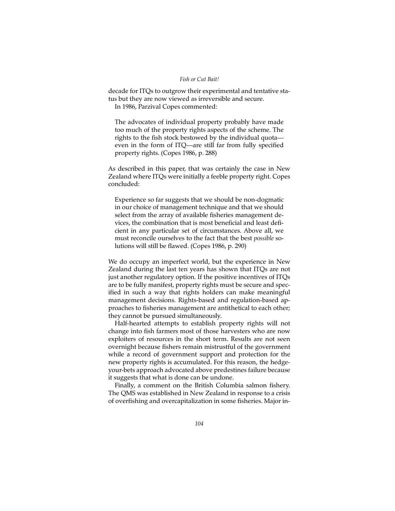## *Fish or Cut Bait!*

decade for ITQs to outgrow their experimental and tentative status but they are now viewed as irreversible and secure. In 1986, Parzival Copes commented:

The advocates of individual property probably have made too much of the property rights aspects of the scheme. The rights to the fish stock bestowed by the individual quota even in the form of ITQ—are still far from fully specified property rights. (Copes 1986, p. 288)

As described in this paper, that was certainly the case in New Zealand where ITQs were initially a feeble property right. Copes concluded:

Experience so far suggests that we should be non-dogmatic in our choice of management technique and that we should select from the array of available fisheries management devices, the combination that is most beneficial and least deficient in any particular set of circumstances. Above all, we must reconcile ourselves to the fact that the best *possible* solutions will still be flawed. (Copes 1986, p. 290)

We do occupy an imperfect world, but the experience in New Zealand during the last ten years has shown that ITQs are not just another regulatory option. If the positive incentives of ITQs are to be fully manifest, property rights must be secure and specified in such a way that rights holders can make meaningful management decisions. Rights-based and regulation-based approaches to fisheries management are antithetical to each other; they cannot be pursued simultaneously.

Half-hearted attempts to establish property rights will not change into fish farmers most of those harvesters who are now exploiters of resources in the short term. Results are not seen overnight because fishers remain mistrustful of the government while a record of government support and protection for the new property rights is accumulated. For this reason, the hedgeyour-bets approach advocated above predestines failure because it suggests that what is done can be undone.

Finally, a comment on the British Columbia salmon fishery. The QMS was established in New Zealand in response to a crisis of overfishing and overcapitalization in some fisheries. Major in